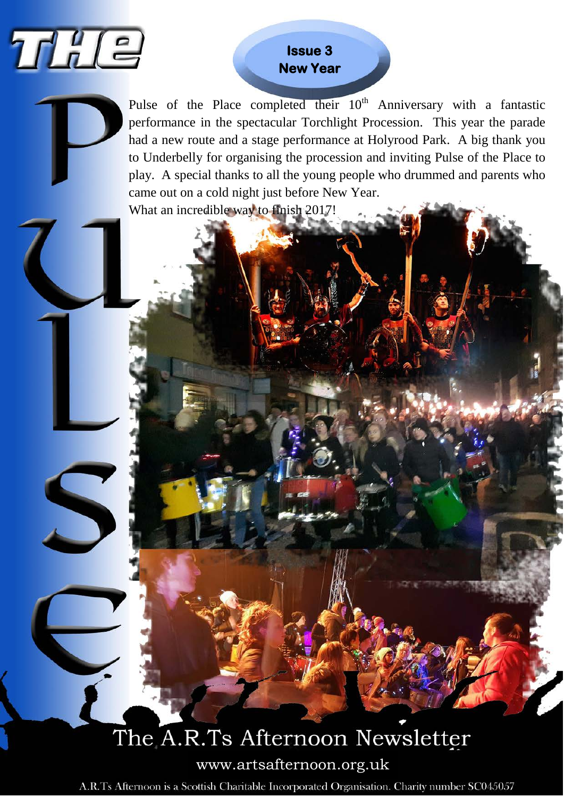

S

### **Issue 3 New Year**

Pulse of the Place completed their  $10<sup>th</sup>$  Anniversary with a fantastic performance in the spectacular Torchlight Procession. This year the parade had a new route and a stage performance at Holyrood Park. A big thank you to Underbelly for organising the procession and inviting Pulse of the Place to play. A special thanks to all the young people who drummed and parents who came out on a cold night just before New Year. What an incredible way to finish 2017!

# The A.R.Ts Afternoon Newsletter

www.artsafternoon.org.uk

A.R.Ts Afternoon is a Scottish Charitable Incorporated Organisation. Charity number SC045057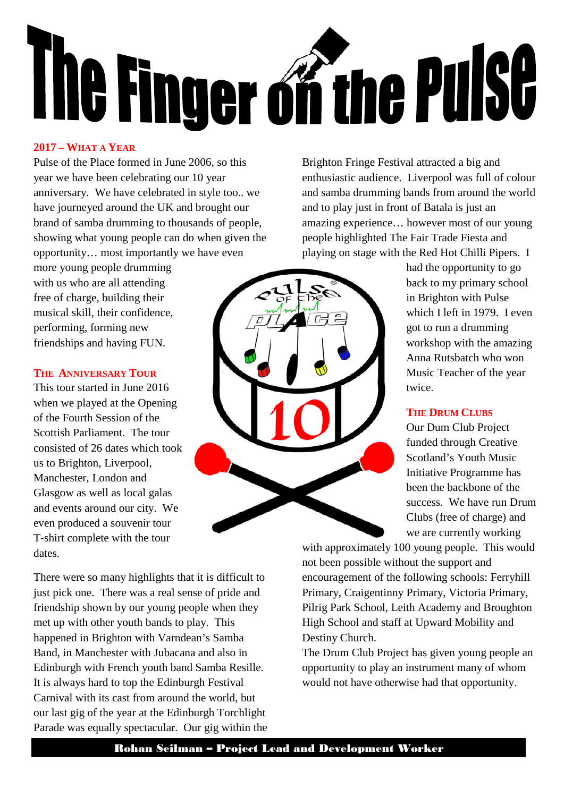

#### **2017 – WHAT A YEAR**

Pulse of the Place formed in June 2006, so this year we have been celebrating our 10 year anniversary. We have celebrated in style too.. we have journeyed around the UK and brought our brand of samba drumming to thousands of people, showing what young people can do when given the opportunity… most importantly we have even

more young people drumming with us who are all attending free of charge, building their musical skill, their confidence, performing, forming new friendships and having FUN.

#### **THE ANNIVERSARY TOUR**

This tour started in June 2016 when we played at the Opening of the Fourth Session of the Scottish Parliament. The tour consisted of 26 dates which took us to Brighton, Liverpool, Manchester, London and Glasgow as well as local galas and events around our city. We even produced a souvenir tour T-shirt complete with the tour dates.

There were so many highlights that it is difficult to just pick one. There was a real sense of pride and friendship shown by our young people when they met up with other youth bands to play. This happened in Brighton with Varndean's Samba Band, in Manchester with Jubacana and also in Edinburgh with French youth band Samba Resille. It is always hard to top the Edinburgh Festival Carnival with its cast from around the world, but our last gig of the year at the Edinburgh Torchlight Parade was equally spectacular. Our gig within the Brighton Fringe Festival attracted a big and enthusiastic audience. Liverpool was full of colour and samba drumming bands from around the world and to play just in front of Batala is just an amazing experience… however most of our young people highlighted The Fair Trade Fiesta and playing on stage with the Red Hot Chilli Pipers. I

> had the opportunity to go back to my primary school in Brighton with Pulse which I left in 1979. I even got to run a drumming workshop with the amazing Anna Rutsbatch who won Music Teacher of the year twice.

#### **THE DRUM CLUBS**

Our Dum Club Project funded through Creative Scotland's Youth Music Initiative Programme has been the backbone of the success. We have run Drum Clubs (free of charge) and we are currently working

with approximately 100 young people. This would not been possible without the support and encouragement of the following schools: Ferryhill Primary, Craigentinny Primary, Victoria Primary, Pilrig Park School, Leith Academy and Broughton High School and staff at Upward Mobility and Destiny Church.

The Drum Club Project has given young people an opportunity to play an instrument many of whom would not have otherwise had that opportunity.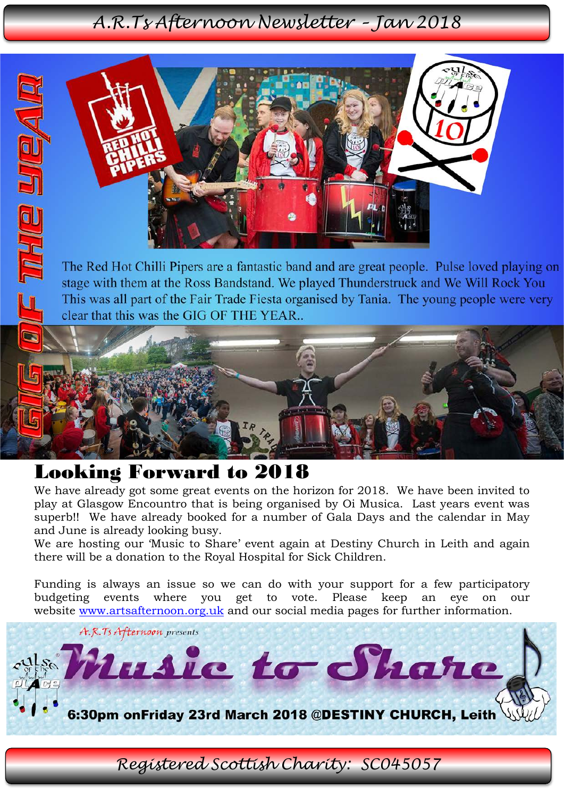### *A.R.Ts Afternoon Newsletter – Jan 2018*



The Red Hot Chilli Pipers are a fantastic band and are great people. Pulse loved playing on stage with them at the Ross Bandstand. We played Thunderstruck and We Will Rock You This was all part of the Fair Trade Fiesta organised by Tania. The young people were very clear that this was the GIG OF THE YEAR...

## Looking Forward to 2018

**IVE/FIGHLE** 

We have already got some great events on the horizon for 2018. We have been invited to play at Glasgow Encountro that is being organised by Oi Musica. Last years event was superb!! We have already booked for a number of Gala Days and the calendar in May and June is already looking busy.

We are hosting our 'Music to Share' event again at Destiny Church in Leith and again there will be a donation to the Royal Hospital for Sick Children.

Funding is always an issue so we can do with your support for a few participatory budgeting events where you get to vote. Please keep an eye on our website [www.artsafternoon.org.uk](http://www.artsafternoon.org.uk/) and our social media pages for further information.



*Registered Scottish Charity: SC045057*